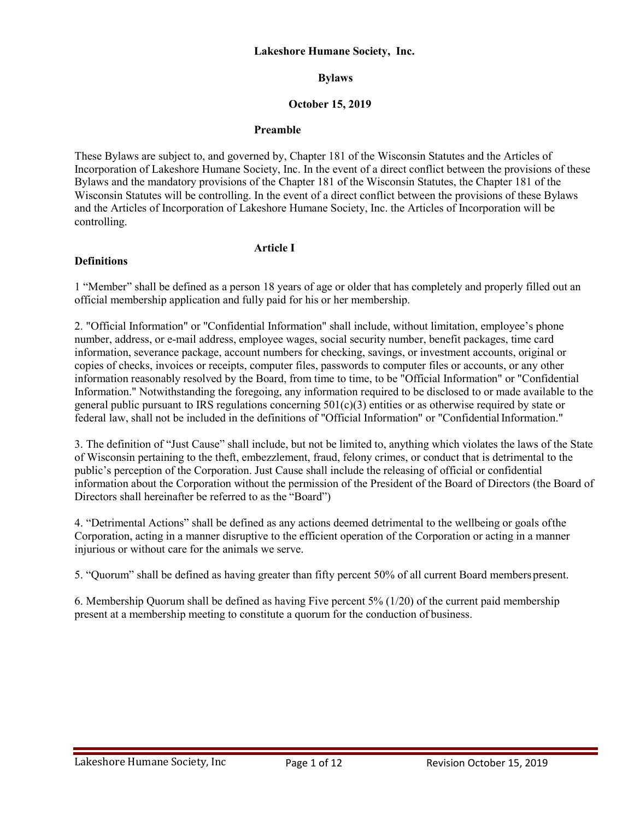#### **Lakeshore Humane Society, Inc.**

# **Bylaws**

## **October 15, 2019**

## **Preamble**

These Bylaws are subject to, and governed by, Chapter 181 of the Wisconsin Statutes and the Articles of Incorporation of Lakeshore Humane Society, Inc. In the event of a direct conflict between the provisions of these Bylaws and the mandatory provisions of the Chapter 181 of the Wisconsin Statutes, the Chapter 181 of the Wisconsin Statutes will be controlling. In the event of a direct conflict between the provisions of these Bylaws and the Articles of Incorporation of Lakeshore Humane Society, Inc. the Articles of Incorporation will be controlling.

# **Definitions**

# **Article I**

1 "Member" shall be defined as a person 18 years of age or older that has completely and properly filled out an official membership application and fully paid for his or her membership.

2. "Official Information" or "Confidential Information" shall include, without limitation, employee's phone number, address, or e-mail address, employee wages, social security number, benefit packages, time card information, severance package, account numbers for checking, savings, or investment accounts, original or copies of checks, invoices or receipts, computer files, passwords to computer files or accounts, or any other information reasonably resolved by the Board, from time to time, to be "Official Information" or "Confidential Information." Notwithstanding the foregoing, any information required to be disclosed to or made available to the general public pursuant to IRS regulations concerning  $501(c)(3)$  entities or as otherwise required by state or federal law, shall not be included in the definitions of "Official Information" or "ConfidentialInformation."

3. The definition of "Just Cause" shall include, but not be limited to, anything which violates the laws of the State of Wisconsin pertaining to the theft, embezzlement, fraud, felony crimes, or conduct that is detrimental to the public's perception of the Corporation. Just Cause shall include the releasing of official or confidential information about the Corporation without the permission of the President of the Board of Directors (the Board of Directors shall hereinafter be referred to as the "Board")

4. "Detrimental Actions" shall be defined as any actions deemed detrimental to the wellbeing or goals ofthe Corporation, acting in a manner disruptive to the efficient operation of the Corporation or acting in a manner injurious or without care for the animals we serve.

5. "Quorum" shall be defined as having greater than fifty percent 50% of all current Board members present.

6. Membership Quorum shall be defined as having Five percent 5% (1/20) of the current paid membership present at a membership meeting to constitute a quorum for the conduction of business.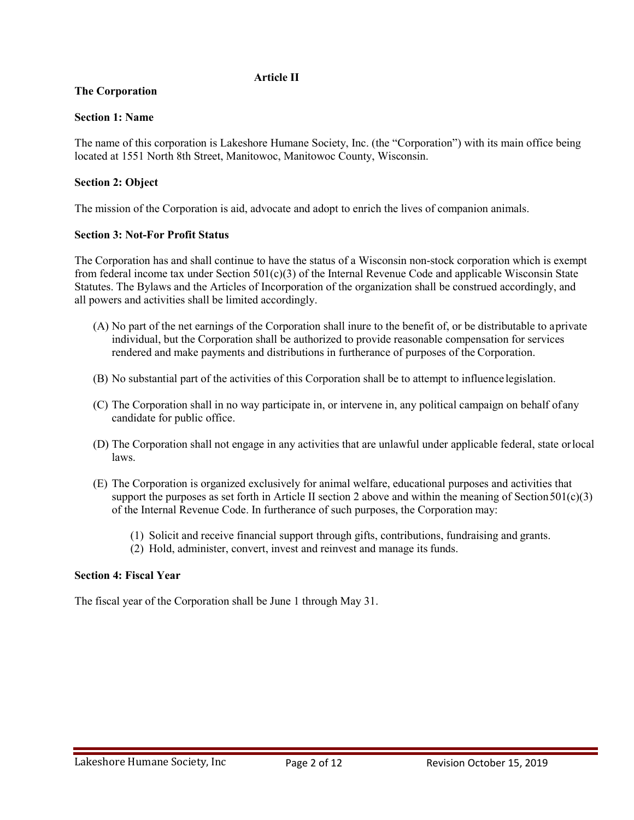# **Article II**

# **The Corporation**

## **Section 1: Name**

The name of this corporation is Lakeshore Humane Society, Inc. (the "Corporation") with its main office being located at 1551 North 8th Street, Manitowoc, Manitowoc County, Wisconsin.

# **Section 2: Object**

The mission of the Corporation is aid, advocate and adopt to enrich the lives of companion animals.

## **Section 3: Not-For Profit Status**

The Corporation has and shall continue to have the status of a Wisconsin non-stock corporation which is exempt from federal income tax under Section  $501(c)(3)$  of the Internal Revenue Code and applicable Wisconsin State Statutes. The Bylaws and the Articles of Incorporation of the organization shall be construed accordingly, and all powers and activities shall be limited accordingly.

- (A) No part of the net earnings of the Corporation shall inure to the benefit of, or be distributable to aprivate individual, but the Corporation shall be authorized to provide reasonable compensation for services rendered and make payments and distributions in furtherance of purposes of the Corporation.
- (B) No substantial part of the activities of this Corporation shall be to attempt to influence legislation.
- (C) The Corporation shall in no way participate in, or intervene in, any political campaign on behalf ofany candidate for public office.
- (D) The Corporation shall not engage in any activities that are unlawful under applicable federal, state orlocal laws.
- (E) The Corporation is organized exclusively for animal welfare, educational purposes and activities that support the purposes as set forth in Article II section 2 above and within the meaning of Section  $501(c)(3)$ of the Internal Revenue Code. In furtherance of such purposes, the Corporation may:
	- (1) Solicit and receive financial support through gifts, contributions, fundraising and grants.
	- (2) Hold, administer, convert, invest and reinvest and manage its funds.

## **Section 4: Fiscal Year**

The fiscal year of the Corporation shall be June 1 through May 31.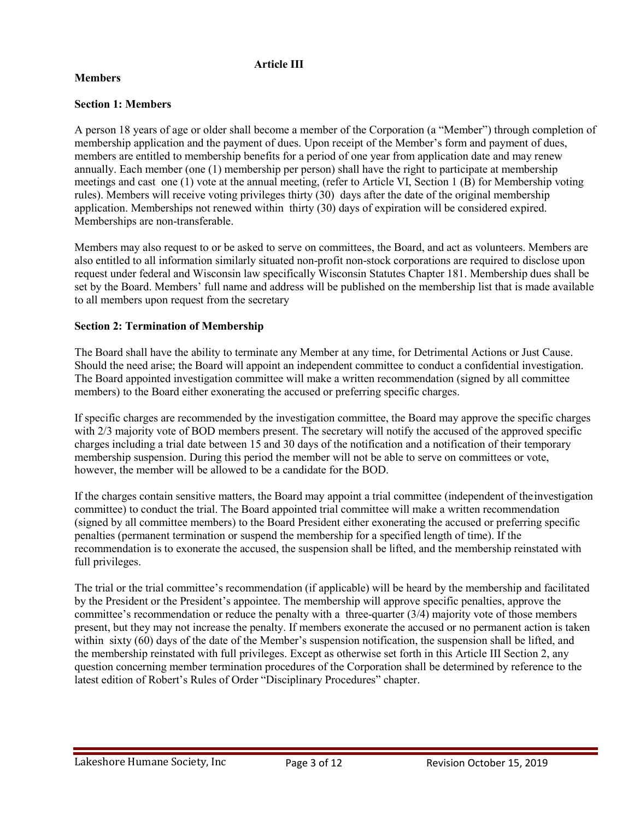# **Article III**

# **Members**

# **Section 1: Members**

A person 18 years of age or older shall become a member of the Corporation (a "Member") through completion of membership application and the payment of dues. Upon receipt of the Member's form and payment of dues, members are entitled to membership benefits for a period of one year from application date and may renew annually. Each member (one (1) membership per person) shall have the right to participate at membership meetings and cast one (1) vote at the annual meeting, (refer to Article VI, Section 1 (B) for Membership voting rules). Members will receive voting privileges thirty (30) days after the date of the original membership application. Memberships not renewed within thirty (30) days of expiration will be considered expired. Memberships are non-transferable.

Members may also request to or be asked to serve on committees, the Board, and act as volunteers. Members are also entitled to all information similarly situated non-profit non-stock corporations are required to disclose upon request under federal and Wisconsin law specifically Wisconsin Statutes Chapter 181. Membership dues shall be set by the Board. Members' full name and address will be published on the membership list that is made available to all members upon request from the secretary

## **Section 2: Termination of Membership**

The Board shall have the ability to terminate any Member at any time, for Detrimental Actions or Just Cause. Should the need arise; the Board will appoint an independent committee to conduct a confidential investigation. The Board appointed investigation committee will make a written recommendation (signed by all committee members) to the Board either exonerating the accused or preferring specific charges.

If specific charges are recommended by the investigation committee, the Board may approve the specific charges with 2/3 majority vote of BOD members present. The secretary will notify the accused of the approved specific charges including a trial date between 15 and 30 days of the notification and a notification of their temporary membership suspension. During this period the member will not be able to serve on committees or vote, however, the member will be allowed to be a candidate for the BOD.

If the charges contain sensitive matters, the Board may appoint a trial committee (independent of theinvestigation committee) to conduct the trial. The Board appointed trial committee will make a written recommendation (signed by all committee members) to the Board President either exonerating the accused or preferring specific penalties (permanent termination or suspend the membership for a specified length of time). If the recommendation is to exonerate the accused, the suspension shall be lifted, and the membership reinstated with full privileges.

The trial or the trial committee's recommendation (if applicable) will be heard by the membership and facilitated by the President or the President's appointee. The membership will approve specific penalties, approve the committee's recommendation or reduce the penalty with a three-quarter (3/4) majority vote of those members present, but they may not increase the penalty. If members exonerate the accused or no permanent action is taken within sixty (60) days of the date of the Member's suspension notification, the suspension shall be lifted, and the membership reinstated with full privileges. Except as otherwise set forth in this Article III Section 2, any question concerning member termination procedures of the Corporation shall be determined by reference to the latest edition of Robert's Rules of Order "Disciplinary Procedures" chapter.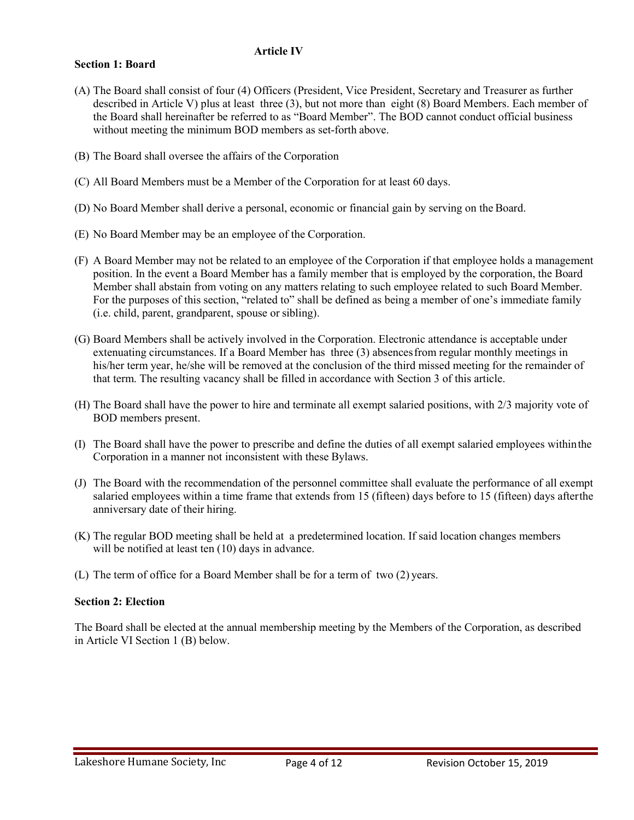## **Article IV**

## **Section 1: Board**

- (A) The Board shall consist of four (4) Officers (President, Vice President, Secretary and Treasurer as further described in Article V) plus at least three (3), but not more than eight (8) Board Members. Each member of the Board shall hereinafter be referred to as "Board Member". The BOD cannot conduct official business without meeting the minimum BOD members as set-forth above.
- (B) The Board shall oversee the affairs of the Corporation
- (C) All Board Members must be a Member of the Corporation for at least 60 days.
- (D) No Board Member shall derive a personal, economic or financial gain by serving on the Board.
- (E) No Board Member may be an employee of the Corporation.
- (F) A Board Member may not be related to an employee of the Corporation if that employee holds a management position. In the event a Board Member has a family member that is employed by the corporation, the Board Member shall abstain from voting on any matters relating to such employee related to such Board Member. For the purposes of this section, "related to" shall be defined as being a member of one's immediate family (i.e. child, parent, grandparent, spouse or sibling).
- (G) Board Members shall be actively involved in the Corporation. Electronic attendance is acceptable under extenuating circumstances. If a Board Member has three (3) absencesfrom regular monthly meetings in his/her term year, he/she will be removed at the conclusion of the third missed meeting for the remainder of that term. The resulting vacancy shall be filled in accordance with Section 3 of this article.
- (H) The Board shall have the power to hire and terminate all exempt salaried positions, with 2/3 majority vote of BOD members present.
- (I) The Board shall have the power to prescribe and define the duties of all exempt salaried employees withinthe Corporation in a manner not inconsistent with these Bylaws.
- (J) The Board with the recommendation of the personnel committee shall evaluate the performance of all exempt salaried employees within a time frame that extends from 15 (fifteen) days before to 15 (fifteen) days afterthe anniversary date of their hiring.
- (K) The regular BOD meeting shall be held at a predetermined location. If said location changes members will be notified at least ten (10) days in advance.
- (L) The term of office for a Board Member shall be for a term of two (2) years.

## **Section 2: Election**

The Board shall be elected at the annual membership meeting by the Members of the Corporation, as described in Article VI Section 1 (B) below.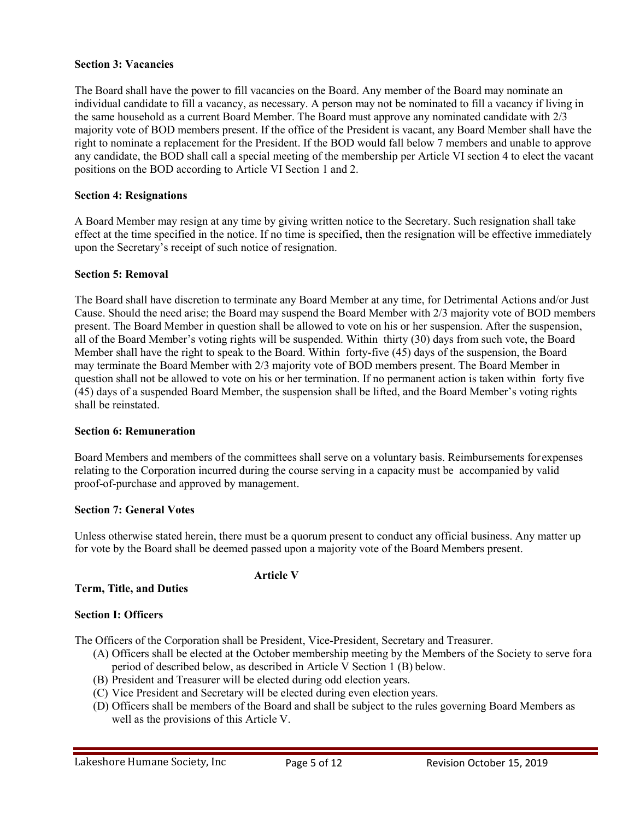## **Section 3: Vacancies**

The Board shall have the power to fill vacancies on the Board. Any member of the Board may nominate an individual candidate to fill a vacancy, as necessary. A person may not be nominated to fill a vacancy if living in the same household as a current Board Member. The Board must approve any nominated candidate with 2/3 majority vote of BOD members present. If the office of the President is vacant, any Board Member shall have the right to nominate a replacement for the President. If the BOD would fall below 7 members and unable to approve any candidate, the BOD shall call a special meeting of the membership per Article VI section 4 to elect the vacant positions on the BOD according to Article VI Section 1 and 2.

## **Section 4: Resignations**

A Board Member may resign at any time by giving written notice to the Secretary. Such resignation shall take effect at the time specified in the notice. If no time is specified, then the resignation will be effective immediately upon the Secretary's receipt of such notice of resignation.

## **Section 5: Removal**

The Board shall have discretion to terminate any Board Member at any time, for Detrimental Actions and/or Just Cause. Should the need arise; the Board may suspend the Board Member with 2/3 majority vote of BOD members present. The Board Member in question shall be allowed to vote on his or her suspension. After the suspension, all of the Board Member's voting rights will be suspended. Within thirty (30) days from such vote, the Board Member shall have the right to speak to the Board. Within forty-five (45) days of the suspension, the Board may terminate the Board Member with 2/3 majority vote of BOD members present. The Board Member in question shall not be allowed to vote on his or her termination. If no permanent action is taken within forty five (45) days of a suspended Board Member, the suspension shall be lifted, and the Board Member's voting rights shall be reinstated.

#### **Section 6: Remuneration**

Board Members and members of the committees shall serve on a voluntary basis. Reimbursements forexpenses relating to the Corporation incurred during the course serving in a capacity must be accompanied by valid proof-of-purchase and approved by management.

## **Section 7: General Votes**

Unless otherwise stated herein, there must be a quorum present to conduct any official business. Any matter up for vote by the Board shall be deemed passed upon a majority vote of the Board Members present.

# **Article V**

# **Term, Title, and Duties**

# **Section I: Officers**

The Officers of the Corporation shall be President, Vice-President, Secretary and Treasurer.

- (A) Officers shall be elected at the October membership meeting by the Members of the Society to serve fora period of described below, as described in Article V Section 1 (B) below.
- (B) President and Treasurer will be elected during odd election years.
- (C) Vice President and Secretary will be elected during even election years.
- (D) Officers shall be members of the Board and shall be subject to the rules governing Board Members as well as the provisions of this Article V.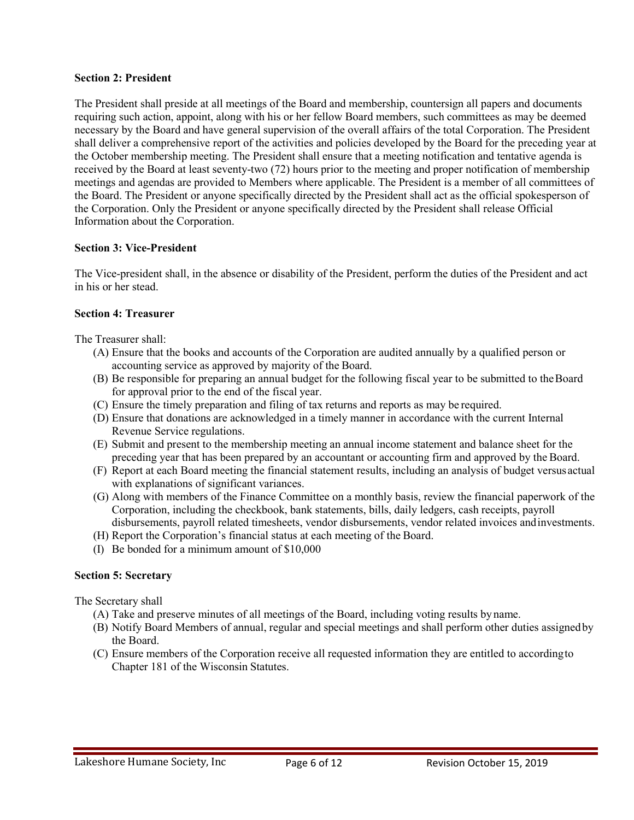## **Section 2: President**

The President shall preside at all meetings of the Board and membership, countersign all papers and documents requiring such action, appoint, along with his or her fellow Board members, such committees as may be deemed necessary by the Board and have general supervision of the overall affairs of the total Corporation. The President shall deliver a comprehensive report of the activities and policies developed by the Board for the preceding year at the October membership meeting. The President shall ensure that a meeting notification and tentative agenda is received by the Board at least seventy-two (72) hours prior to the meeting and proper notification of membership meetings and agendas are provided to Members where applicable. The President is a member of all committees of the Board. The President or anyone specifically directed by the President shall act as the official spokesperson of the Corporation. Only the President or anyone specifically directed by the President shall release Official Information about the Corporation.

## **Section 3: Vice-President**

The Vice-president shall, in the absence or disability of the President, perform the duties of the President and act in his or her stead.

## **Section 4: Treasurer**

The Treasurer shall:

- (A) Ensure that the books and accounts of the Corporation are audited annually by a qualified person or accounting service as approved by majority of the Board.
- (B) Be responsible for preparing an annual budget for the following fiscal year to be submitted to theBoard for approval prior to the end of the fiscal year.
- (C) Ensure the timely preparation and filing of tax returns and reports as may be required.
- (D) Ensure that donations are acknowledged in a timely manner in accordance with the current Internal Revenue Service regulations.
- (E) Submit and present to the membership meeting an annual income statement and balance sheet for the preceding year that has been prepared by an accountant or accounting firm and approved by the Board.
- (F) Report at each Board meeting the financial statement results, including an analysis of budget versus actual with explanations of significant variances.
- (G) Along with members of the Finance Committee on a monthly basis, review the financial paperwork of the Corporation, including the checkbook, bank statements, bills, daily ledgers, cash receipts, payroll disbursements, payroll related timesheets, vendor disbursements, vendor related invoices andinvestments.
- (H) Report the Corporation's financial status at each meeting of the Board.
- (I) Be bonded for a minimum amount of \$10,000

# **Section 5: Secretary**

The Secretary shall

- (A) Take and preserve minutes of all meetings of the Board, including voting results by name.
- (B) Notify Board Members of annual, regular and special meetings and shall perform other duties assignedby the Board.
- (C) Ensure members of the Corporation receive all requested information they are entitled to accordingto Chapter 181 of the Wisconsin Statutes.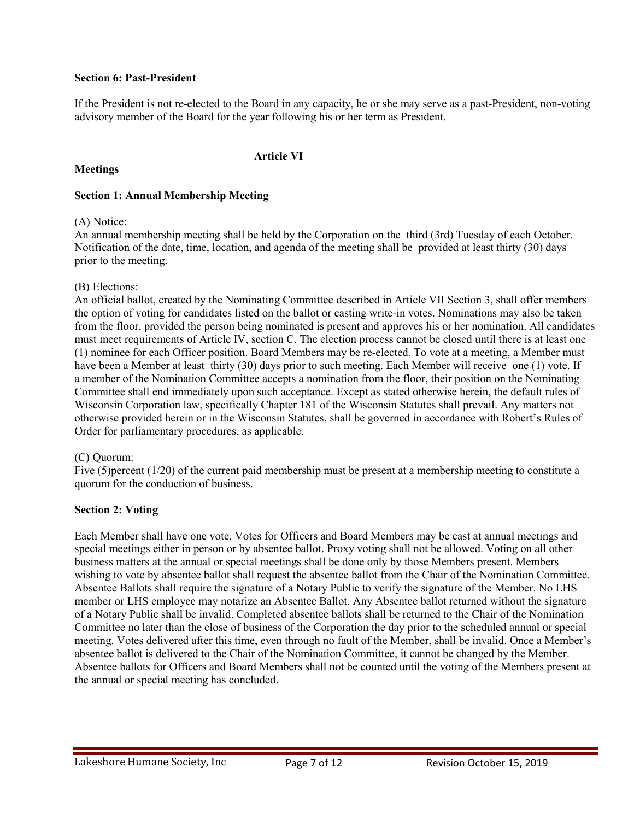## **Section 6: Past-President**

If the President is not re-elected to the Board in any capacity, he or she may serve as a past-President, non-voting advisory member of the Board for the year following his or her term as President.

# **Meetings**

#### **Article VI**

# **Section 1: Annual Membership Meeting**

## (A) Notice:

An annual membership meeting shall be held by the Corporation on the third (3rd) Tuesday of each October. Notification of the date, time, location, and agenda of the meeting shall be provided at least thirty (30) days prior to the meeting.

## (B) Elections:

An official ballot, created by the Nominating Committee described in Article VII Section 3, shall offer members the option of voting for candidates listed on the ballot or casting write-in votes. Nominations may also be taken from the floor, provided the person being nominated is present and approves his or her nomination. All candidates must meet requirements of Article IV, section C. The election process cannot be closed until there is at least one (1) nominee for each Officer position. Board Members may be re-elected. To vote at a meeting, a Member must have been a Member at least thirty (30) days prior to such meeting. Each Member will receive one (1) vote. If a member of the Nomination Committee accepts a nomination from the floor, their position on the Nominating Committee shall end immediately upon such acceptance. Except as stated otherwise herein, the default rules of Wisconsin Corporation law, specifically Chapter 181 of the Wisconsin Statutes shall prevail. Any matters not otherwise provided herein or in the Wisconsin Statutes, shall be governed in accordance with Robert's Rules of Order for parliamentary procedures, as applicable.

#### (C) Quorum:

Five (5)percent (1/20) of the current paid membership must be present at a membership meeting to constitute a quorum for the conduction of business.

# **Section 2: Voting**

Each Member shall have one vote. Votes for Officers and Board Members may be cast at annual meetings and special meetings either in person or by absentee ballot. Proxy voting shall not be allowed. Voting on all other business matters at the annual or special meetings shall be done only by those Members present. Members wishing to vote by absentee ballot shall request the absentee ballot from the Chair of the Nomination Committee. Absentee Ballots shall require the signature of a Notary Public to verify the signature of the Member. No LHS member or LHS employee may notarize an Absentee Ballot. Any Absentee ballot returned without the signature of a Notary Public shall be invalid. Completed absentee ballots shall be returned to the Chair of the Nomination Committee no later than the close of business of the Corporation the day prior to the scheduled annual or special meeting. Votes delivered after this time, even through no fault of the Member, shall be invalid. Once a Member's absentee ballot is delivered to the Chair of the Nomination Committee, it cannot be changed by the Member. Absentee ballots for Officers and Board Members shall not be counted until the voting of the Members present at the annual or special meeting has concluded.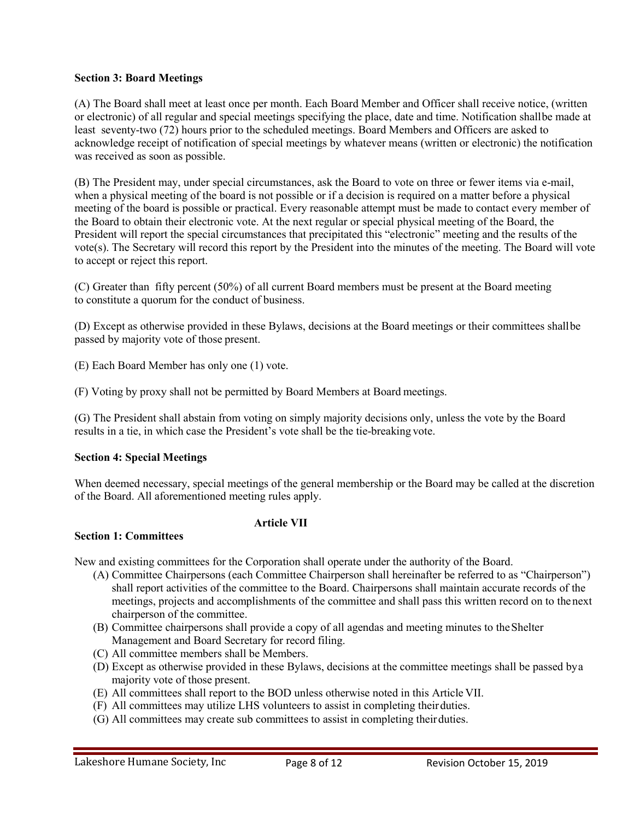# **Section 3: Board Meetings**

(A) The Board shall meet at least once per month. Each Board Member and Officer shall receive notice, (written or electronic) of all regular and special meetings specifying the place, date and time. Notification shallbe made at least seventy-two (72) hours prior to the scheduled meetings. Board Members and Officers are asked to acknowledge receipt of notification of special meetings by whatever means (written or electronic) the notification was received as soon as possible.

(B) The President may, under special circumstances, ask the Board to vote on three or fewer items via e-mail, when a physical meeting of the board is not possible or if a decision is required on a matter before a physical meeting of the board is possible or practical. Every reasonable attempt must be made to contact every member of the Board to obtain their electronic vote. At the next regular or special physical meeting of the Board, the President will report the special circumstances that precipitated this "electronic" meeting and the results of the vote(s). The Secretary will record this report by the President into the minutes of the meeting. The Board will vote to accept or reject this report.

(C) Greater than fifty percent (50%) of all current Board members must be present at the Board meeting to constitute a quorum for the conduct of business.

(D) Except as otherwise provided in these Bylaws, decisions at the Board meetings or their committees shallbe passed by majority vote of those present.

(E) Each Board Member has only one (1) vote.

(F) Voting by proxy shall not be permitted by Board Members at Board meetings.

(G) The President shall abstain from voting on simply majority decisions only, unless the vote by the Board results in a tie, in which case the President's vote shall be the tie-breaking vote.

#### **Section 4: Special Meetings**

When deemed necessary, special meetings of the general membership or the Board may be called at the discretion of the Board. All aforementioned meeting rules apply.

# **Section 1: Committees**

New and existing committees for the Corporation shall operate under the authority of the Board.

**Article VII**

- (A) Committee Chairpersons (each Committee Chairperson shall hereinafter be referred to as "Chairperson") shall report activities of the committee to the Board. Chairpersons shall maintain accurate records of the meetings, projects and accomplishments of the committee and shall pass this written record on to thenext chairperson of the committee.
- (B) Committee chairpersons shall provide a copy of all agendas and meeting minutes to theShelter Management and Board Secretary for record filing.
- (C) All committee members shall be Members.
- (D) Except as otherwise provided in these Bylaws, decisions at the committee meetings shall be passed bya majority vote of those present.
- (E) All committees shall report to the BOD unless otherwise noted in this Article VII.
- (F) All committees may utilize LHS volunteers to assist in completing theirduties.
- (G) All committees may create sub committees to assist in completing theirduties.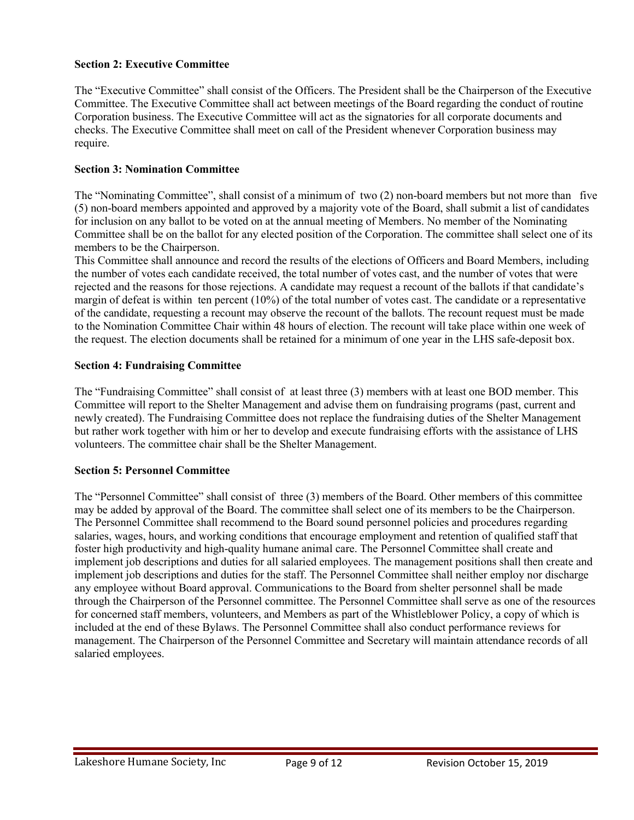# **Section 2: Executive Committee**

The "Executive Committee" shall consist of the Officers. The President shall be the Chairperson of the Executive Committee. The Executive Committee shall act between meetings of the Board regarding the conduct of routine Corporation business. The Executive Committee will act as the signatories for all corporate documents and checks. The Executive Committee shall meet on call of the President whenever Corporation business may require.

# **Section 3: Nomination Committee**

The "Nominating Committee", shall consist of a minimum of two (2) non-board members but not more than five (5) non-board members appointed and approved by a majority vote of the Board, shall submit a list of candidates for inclusion on any ballot to be voted on at the annual meeting of Members. No member of the Nominating Committee shall be on the ballot for any elected position of the Corporation. The committee shall select one of its members to be the Chairperson.

This Committee shall announce and record the results of the elections of Officers and Board Members, including the number of votes each candidate received, the total number of votes cast, and the number of votes that were rejected and the reasons for those rejections. A candidate may request a recount of the ballots if that candidate's margin of defeat is within ten percent (10%) of the total number of votes cast. The candidate or a representative of the candidate, requesting a recount may observe the recount of the ballots. The recount request must be made to the Nomination Committee Chair within 48 hours of election. The recount will take place within one week of the request. The election documents shall be retained for a minimum of one year in the LHS safe-deposit box.

#### **Section 4: Fundraising Committee**

The "Fundraising Committee" shall consist of at least three (3) members with at least one BOD member. This Committee will report to the Shelter Management and advise them on fundraising programs (past, current and newly created). The Fundraising Committee does not replace the fundraising duties of the Shelter Management but rather work together with him or her to develop and execute fundraising efforts with the assistance of LHS volunteers. The committee chair shall be the Shelter Management.

# **Section 5: Personnel Committee**

The "Personnel Committee" shall consist of three (3) members of the Board. Other members of this committee may be added by approval of the Board. The committee shall select one of its members to be the Chairperson. The Personnel Committee shall recommend to the Board sound personnel policies and procedures regarding salaries, wages, hours, and working conditions that encourage employment and retention of qualified staff that foster high productivity and high-quality humane animal care. The Personnel Committee shall create and implement job descriptions and duties for all salaried employees. The management positions shall then create and implement job descriptions and duties for the staff. The Personnel Committee shall neither employ nor discharge any employee without Board approval. Communications to the Board from shelter personnel shall be made through the Chairperson of the Personnel committee. The Personnel Committee shall serve as one of the resources for concerned staff members, volunteers, and Members as part of the Whistleblower Policy, a copy of which is included at the end of these Bylaws. The Personnel Committee shall also conduct performance reviews for management. The Chairperson of the Personnel Committee and Secretary will maintain attendance records of all salaried employees.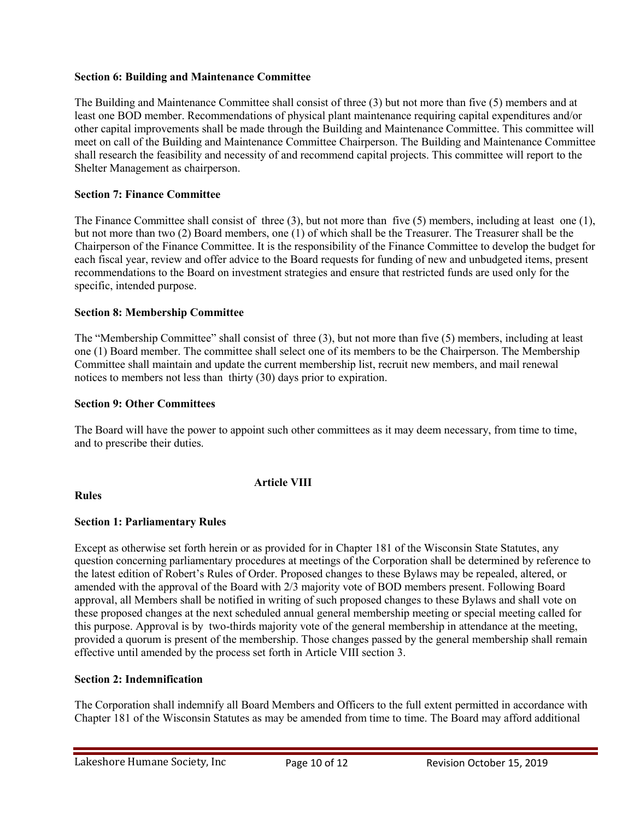# **Section 6: Building and Maintenance Committee**

The Building and Maintenance Committee shall consist of three (3) but not more than five (5) members and at least one BOD member. Recommendations of physical plant maintenance requiring capital expenditures and/or other capital improvements shall be made through the Building and Maintenance Committee. This committee will meet on call of the Building and Maintenance Committee Chairperson. The Building and Maintenance Committee shall research the feasibility and necessity of and recommend capital projects. This committee will report to the Shelter Management as chairperson.

## **Section 7: Finance Committee**

The Finance Committee shall consist of three (3), but not more than five (5) members, including at least one (1), but not more than two (2) Board members, one (1) of which shall be the Treasurer. The Treasurer shall be the Chairperson of the Finance Committee. It is the responsibility of the Finance Committee to develop the budget for each fiscal year, review and offer advice to the Board requests for funding of new and unbudgeted items, present recommendations to the Board on investment strategies and ensure that restricted funds are used only for the specific, intended purpose.

#### **Section 8: Membership Committee**

The "Membership Committee" shall consist of three (3), but not more than five (5) members, including at least one (1) Board member. The committee shall select one of its members to be the Chairperson. The Membership Committee shall maintain and update the current membership list, recruit new members, and mail renewal notices to members not less than thirty (30) days prior to expiration.

#### **Section 9: Other Committees**

The Board will have the power to appoint such other committees as it may deem necessary, from time to time, and to prescribe their duties.

**Rules**

# **Article VIII**

# **Section 1: Parliamentary Rules**

Except as otherwise set forth herein or as provided for in Chapter 181 of the Wisconsin State Statutes, any question concerning parliamentary procedures at meetings of the Corporation shall be determined by reference to the latest edition of Robert's Rules of Order. Proposed changes to these Bylaws may be repealed, altered, or amended with the approval of the Board with 2/3 majority vote of BOD members present. Following Board approval, all Members shall be notified in writing of such proposed changes to these Bylaws and shall vote on these proposed changes at the next scheduled annual general membership meeting or special meeting called for this purpose. Approval is by two-thirds majority vote of the general membership in attendance at the meeting, provided a quorum is present of the membership. Those changes passed by the general membership shall remain effective until amended by the process set forth in Article VIII section 3.

## **Section 2: Indemnification**

The Corporation shall indemnify all Board Members and Officers to the full extent permitted in accordance with Chapter 181 of the Wisconsin Statutes as may be amended from time to time. The Board may afford additional

Lakeshore Humane Society, Inc Page 10 of 12 Revision October 15, 2019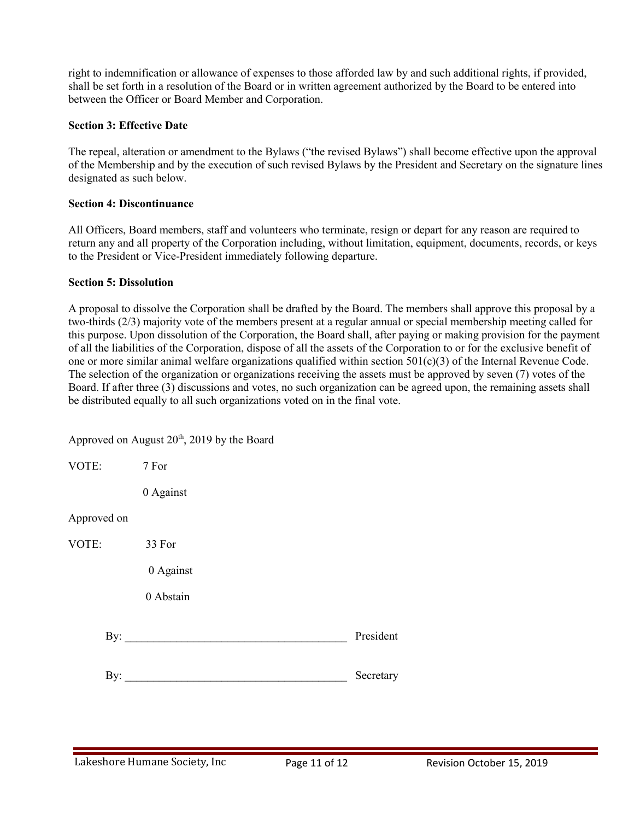right to indemnification or allowance of expenses to those afforded law by and such additional rights, if provided, shall be set forth in a resolution of the Board or in written agreement authorized by the Board to be entered into between the Officer or Board Member and Corporation.

# **Section 3: Effective Date**

The repeal, alteration or amendment to the Bylaws ("the revised Bylaws") shall become effective upon the approval of the Membership and by the execution of such revised Bylaws by the President and Secretary on the signature lines designated as such below.

## **Section 4: Discontinuance**

All Officers, Board members, staff and volunteers who terminate, resign or depart for any reason are required to return any and all property of the Corporation including, without limitation, equipment, documents, records, or keys to the President or Vice-President immediately following departure.

#### **Section 5: Dissolution**

A proposal to dissolve the Corporation shall be drafted by the Board. The members shall approve this proposal by a two-thirds (2/3) majority vote of the members present at a regular annual or special membership meeting called for this purpose. Upon dissolution of the Corporation, the Board shall, after paying or making provision for the payment of all the liabilities of the Corporation, dispose of all the assets of the Corporation to or for the exclusive benefit of one or more similar animal welfare organizations qualified within section 501(c)(3) of the Internal Revenue Code. The selection of the organization or organizations receiving the assets must be approved by seven (7) votes of the Board. If after three (3) discussions and votes, no such organization can be agreed upon, the remaining assets shall be distributed equally to all such organizations voted on in the final vote.

|                | Approved on August 20 <sup>th</sup> , 2019 by the Board |           |
|----------------|---------------------------------------------------------|-----------|
| VOTE:          | 7 For                                                   |           |
|                | 0 Against                                               |           |
| Approved on    |                                                         |           |
| VOTE:          | 33 For                                                  |           |
|                | 0 Against                                               |           |
|                | 0 Abstain                                               |           |
| $\mathbf{By:}$ |                                                         | President |
| By:            |                                                         | Secretary |